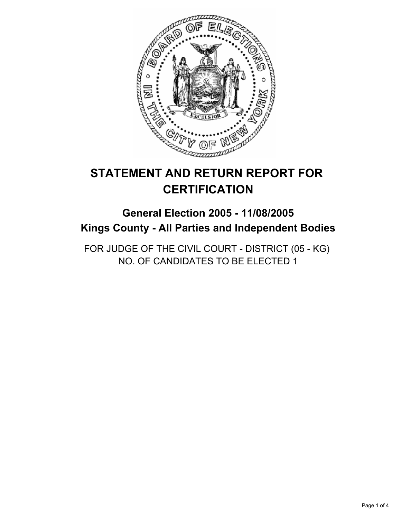

# **STATEMENT AND RETURN REPORT FOR CERTIFICATION**

## **General Election 2005 - 11/08/2005 Kings County - All Parties and Independent Bodies**

FOR JUDGE OF THE CIVIL COURT - DISTRICT (05 - KG) NO. OF CANDIDATES TO BE ELECTED 1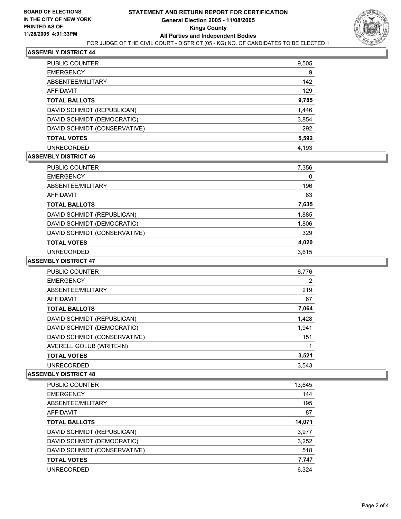

## **ASSEMBLY DISTRICT 44**

| <b>PUBLIC COUNTER</b>        | 9,505 |
|------------------------------|-------|
| <b>EMERGENCY</b>             | 9     |
| ABSENTEE/MILITARY            | 142   |
| AFFIDAVIT                    | 129   |
| <b>TOTAL BALLOTS</b>         | 9,785 |
| DAVID SCHMIDT (REPUBLICAN)   | 1,446 |
| DAVID SCHMIDT (DEMOCRATIC)   | 3,854 |
| DAVID SCHMIDT (CONSERVATIVE) | 292   |
| <b>TOTAL VOTES</b>           | 5,592 |
| <b>UNRECORDED</b>            | 4.193 |

#### **ASSEMBLY DISTRICT 46**

| PUBLIC COUNTER               | 7,356 |  |
|------------------------------|-------|--|
| <b>EMERGENCY</b>             | 0     |  |
| ABSENTEE/MILITARY            | 196   |  |
| AFFIDAVIT                    | 83    |  |
| <b>TOTAL BALLOTS</b>         | 7,635 |  |
| DAVID SCHMIDT (REPUBLICAN)   | 1,885 |  |
| DAVID SCHMIDT (DEMOCRATIC)   | 1,806 |  |
| DAVID SCHMIDT (CONSERVATIVE) | 329   |  |
| <b>TOTAL VOTES</b>           | 4,020 |  |
| <b>UNRECORDED</b>            | 3.615 |  |

#### **ASSEMBLY DISTRICT 47**

| <b>PUBLIC COUNTER</b>        | 6,776 |  |
|------------------------------|-------|--|
| <b>EMERGENCY</b>             | 2     |  |
| ABSENTEE/MILITARY            | 219   |  |
| AFFIDAVIT                    | 67    |  |
| <b>TOTAL BALLOTS</b>         | 7,064 |  |
| DAVID SCHMIDT (REPUBLICAN)   | 1,428 |  |
| DAVID SCHMIDT (DEMOCRATIC)   | 1,941 |  |
| DAVID SCHMIDT (CONSERVATIVE) | 151   |  |
| AVERELL GOLUB (WRITE-IN)     |       |  |
| <b>TOTAL VOTES</b>           | 3,521 |  |
| <b>UNRECORDED</b>            | 3.543 |  |

## **ASSEMBLY DISTRICT 48**

| PUBLIC COUNTER               | 13,645 |
|------------------------------|--------|
| <b>EMERGENCY</b>             | 144    |
| ABSENTEE/MILITARY            | 195    |
| <b>AFFIDAVIT</b>             | 87     |
| <b>TOTAL BALLOTS</b>         | 14,071 |
| DAVID SCHMIDT (REPUBLICAN)   | 3,977  |
| DAVID SCHMIDT (DEMOCRATIC)   | 3,252  |
| DAVID SCHMIDT (CONSERVATIVE) | 518    |
| <b>TOTAL VOTES</b>           | 7,747  |
| <b>UNRECORDED</b>            | 6.324  |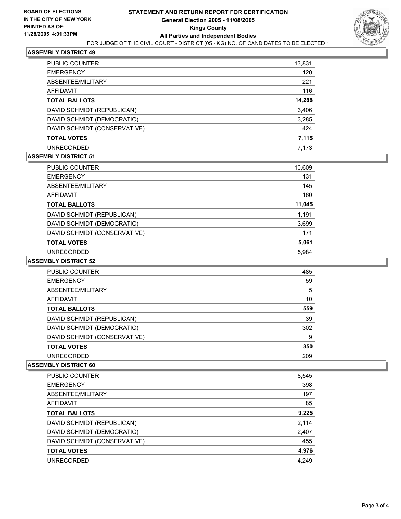

## **ASSEMBLY DISTRICT 49**

| PUBLIC COUNTER               | 13,831 |
|------------------------------|--------|
| <b>EMERGENCY</b>             | 120    |
| <b>ABSENTEE/MILITARY</b>     | 221    |
| <b>AFFIDAVIT</b>             | 116    |
| <b>TOTAL BALLOTS</b>         | 14,288 |
| DAVID SCHMIDT (REPUBLICAN)   | 3,406  |
| DAVID SCHMIDT (DEMOCRATIC)   | 3,285  |
| DAVID SCHMIDT (CONSERVATIVE) | 424    |
| <b>TOTAL VOTES</b>           | 7,115  |
| <b>UNRECORDED</b>            | 7.173  |

#### **ASSEMBLY DISTRICT 51**

| PUBLIC COUNTER               | 10,609 |
|------------------------------|--------|
| <b>EMERGENCY</b>             | 131    |
| ABSENTEE/MILITARY            | 145    |
| AFFIDAVIT                    | 160    |
| <b>TOTAL BALLOTS</b>         | 11,045 |
| DAVID SCHMIDT (REPUBLICAN)   | 1,191  |
| DAVID SCHMIDT (DEMOCRATIC)   | 3,699  |
| DAVID SCHMIDT (CONSERVATIVE) | 171    |
| <b>TOTAL VOTES</b>           | 5,061  |
| <b>UNRECORDED</b>            | 5.984  |

#### **ASSEMBLY DISTRICT 52**

| PUBLIC COUNTER               | 485 |
|------------------------------|-----|
| <b>EMERGENCY</b>             | 59  |
| ABSENTEE/MILITARY            | 5   |
| AFFIDAVIT                    | 10  |
| <b>TOTAL BALLOTS</b>         | 559 |
| DAVID SCHMIDT (REPUBLICAN)   | 39  |
| DAVID SCHMIDT (DEMOCRATIC)   | 302 |
| DAVID SCHMIDT (CONSERVATIVE) | 9   |
| <b>TOTAL VOTES</b>           | 350 |
| <b>UNRECORDED</b>            | 209 |

#### **ASSEMBLY DISTRICT 60**

| PUBLIC COUNTER               | 8,545 |
|------------------------------|-------|
| <b>EMERGENCY</b>             | 398   |
| ABSENTEE/MILITARY            | 197   |
| AFFIDAVIT                    | 85    |
| <b>TOTAL BALLOTS</b>         | 9,225 |
| DAVID SCHMIDT (REPUBLICAN)   | 2,114 |
| DAVID SCHMIDT (DEMOCRATIC)   | 2,407 |
| DAVID SCHMIDT (CONSERVATIVE) | 455   |
| <b>TOTAL VOTES</b>           | 4,976 |
| <b>UNRECORDED</b>            | 4.249 |